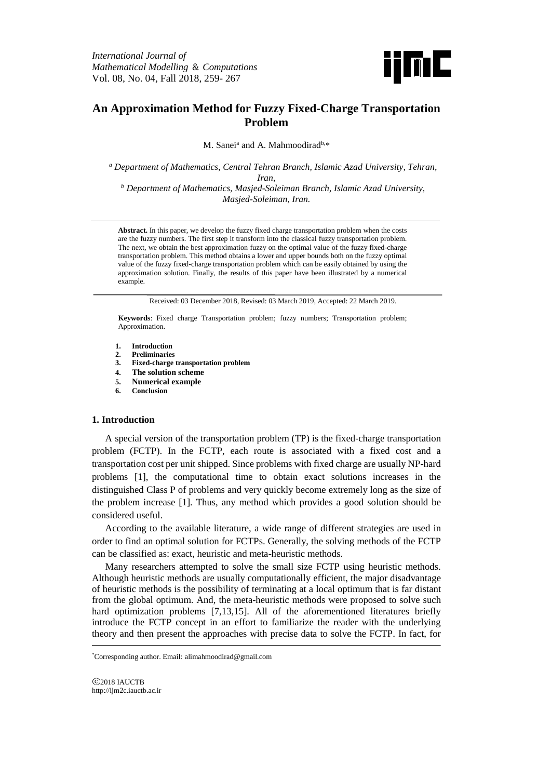

# **An Approximation Method for Fuzzy Fixed-Charge Transportation Problem**

M. Sanei<sup>a</sup> and A. Mahmoodirad<sup>b,\*</sup>

*<sup>a</sup> Department of Mathematics, Central Tehran Branch, Islamic Azad University, Tehran, Iran,*

*<sup>b</sup> Department of Mathematics, Masjed-Soleiman Branch, Islamic Azad University, Masjed-Soleiman, Iran.*

**Abstract.** In this paper, we develop the fuzzy fixed charge transportation problem when the costs are the fuzzy numbers. The first step it transform into the classical fuzzy transportation problem. The next, we obtain the best approximation fuzzy on the optimal value of the fuzzy fixed-charge transportation problem. This method obtains a lower and upper bounds both on the fuzzy optimal value of the fuzzy fixed-charge transportation problem which can be easily obtained by using the approximation solution. Finally, the results of this paper have been illustrated by a numerical example.

Received: 03 December 2018, Revised: 03 March 2019, Accepted: 22 March 2019.

**Keywords**: Fixed charge Transportation problem; fuzzy numbers; Transportation problem; Approximation.

- **1. Introduction**
- **2. Preliminaries**
- **3. Fixed-charge transportation problem**
- **4. The solution scheme**
- **5. Numerical example**
- **6. Conclusion**

# **1. Introduction**

A special version of the transportation problem (TP) is the fixed-charge transportation problem (FCTP). In the FCTP, each route is associated with a fixed cost and a transportation cost per unit shipped. Since problems with fixed charge are usually NP-hard problems [1], the computational time to obtain exact solutions increases in the distinguished Class P of problems and very quickly become extremely long as the size of the problem increase [1]. Thus, any method which provides a good solution should be considered useful.

According to the available literature, a wide range of different strategies are used in order to find an optimal solution for FCTPs. Generally, the solving methods of the FCTP can be classified as: exact, heuristic and meta-heuristic methods.

Many researchers attempted to solve the small size FCTP using heuristic methods. Although heuristic methods are usually computationally efficient, the major disadvantage of heuristic methods is the possibility of terminating at a local optimum that is far distant from the global optimum. And, the meta-heuristic methods were proposed to solve such hard optimization problems [7,13,15]. All of the aforementioned literatures briefly introduce the FCTP concept in an effort to familiarize the reader with the underlying theory and then present the approaches with precise data to solve the FCTP. In fact, for

2018 IAUCTB http://ijm2c.iauctb.ac.ir

<sup>\*</sup> Corresponding author. Email: alimahmoodirad@gmail.com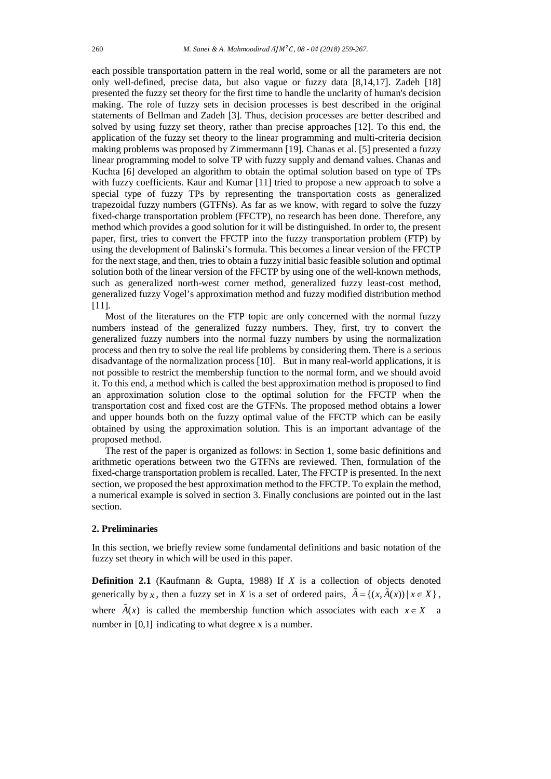each possible transportation pattern in the real world, some or all the parameters are not only well-defined, precise data, but also vague or fuzzy data [8,14,17]. Zadeh [18] presented the fuzzy set theory for the first time to handle the unclarity of human's decision making. The role of fuzzy sets in decision processes is best described in the original statements of Bellman and Zadeh [3]. Thus, decision processes are better described and solved by using fuzzy set theory, rather than precise approaches [12]. To this end, the application of the fuzzy set theory to the linear programming and multi-criteria decision making problems was proposed by Zimmermann [19]. Chanas et al. [5] presented a fuzzy linear programming model to solve TP with fuzzy supply and demand values. Chanas and Kuchta [6] developed an algorithm to obtain the optimal solution based on type of TPs with fuzzy coefficients. Kaur and Kumar [11] tried to propose a new approach to solve a special type of fuzzy TPs by representing the transportation costs as generalized trapezoidal fuzzy numbers (GTFNs). As far as we know, with regard to solve the fuzzy fixed-charge transportation problem (FFCTP), no research has been done. Therefore, any method which provides a good solution for it will be distinguished. In order to, the present paper, first, tries to convert the FFCTP into the fuzzy transportation problem (FTP) by using the development of Balinski's formula. This becomes a linear version of the FFCTP for the next stage, and then, tries to obtain a fuzzy initial basic feasible solution and optimal solution both of the linear version of the FFCTP by using one of the well-known methods, such as generalized north-west corner method, generalized fuzzy least-cost method, generalized fuzzy Vogel's approximation method and fuzzy modified distribution method [11].

Most of the literatures on the FTP topic are only concerned with the normal fuzzy numbers instead of the generalized fuzzy numbers. They, first, try to convert the generalized fuzzy numbers into the normal fuzzy numbers by using the normalization process and then try to solve the real life problems by considering them. There is a serious disadvantage of the normalization process [10]. But in many real-world applications, it is not possible to restrict the membership function to the normal form, and we should avoid it. To this end, a method which is called the best approximation method is proposed to find an approximation solution close to the optimal solution for the FFCTP when the transportation cost and fixed cost are the GTFNs. The proposed method obtains a lower and upper bounds both on the fuzzy optimal value of the FFCTP which can be easily obtained by using the approximation solution. This is an important advantage of the proposed method.

The rest of the paper is organized as follows: in Section 1, some basic definitions and arithmetic operations between two the GTFNs are reviewed. Then, formulation of the fixed-charge transportation problem is recalled. Later, The FFCTP is presented. In the next section, we proposed the best approximation method to the FFCTP. To explain the method, a numerical example is solved in section 3. Finally conclusions are pointed out in the last section.

### **2. Preliminaries**

In this section, we briefly review some fundamental definitions and basic notation of the fuzzy set theory in which will be used in this paper.

**Definition 2.1** (Kaufmann & Gupta, 1988) If *X* is a collection of objects denoted generically by *x*, then a fuzzy set in *X* is a set of ordered pairs,  $\tilde{A} = \{(x, \tilde{A}(x)) | x \in X\}$ , where  $\hat{A}(x)$  is called the membership function which associates with each  $x \in X$  a number in [0,1] indicating to what degree x is a number.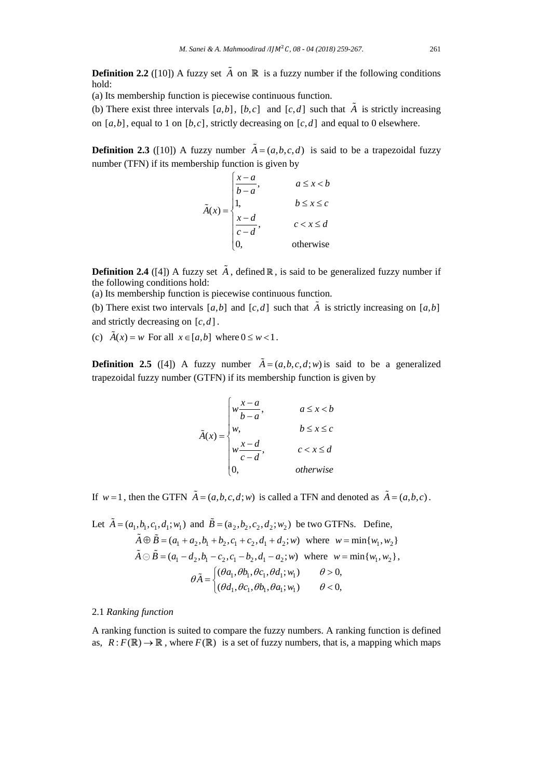**Definition 2.2** ([10]) A fuzzy set  $\tilde{A}$  on  $\mathbb{R}$  is a fuzzy number if the following conditions hold:

(a) Its membership function is piecewise continuous function.

(b) There exist three intervals  $[a,b]$ ,  $[b,c]$  and  $[c,d]$  such that  $\tilde{A}$  is strictly increasing on  $[a,b]$ , equal to 1 on  $[b,c]$ , strictly decreasing on  $[c,d]$  and equal to 0 elsewhere.

**Definition 2.3** ([10]) A fuzzy number  $\tilde{A} = (a, b, c, d)$  is said to be a trapezoidal fuzzy number (TFN) if its membership function is given by

$$
\tilde{A}(x) = \begin{cases}\n\frac{x-a}{b-a}, & a \leq x < b \\
1, & b \leq x \leq c \\
\frac{x-d}{c-d}, & c < x \leq d \\
0, & \text{otherwise}\n\end{cases}
$$

**Definition 2.4** ([4]) A fuzzy set  $\tilde{A}$ , defined  $\mathbb{R}$ , is said to be generalized fuzzy number if the following conditions hold:

(a) Its membership function is piecewise continuous function.

(b) There exist two intervals  $[a,b]$  and  $[c,d]$  such that  $\tilde{A}$  is strictly increasing on  $[a,b]$ and strictly decreasing on  $[c, d]$ .

(c)  $\hat{A}(x) = w$  For all  $x \in [a,b]$  where  $0 \le w < 1$ .

**Definition 2.5** ([4]) A fuzzy number  $\tilde{A} = (a, b, c, d; w)$  is said to be a generalized trapezoidal fuzzy number (GTFN) if its membership function is given by

$$
\tilde{A}(x) = \begin{cases}\nw \frac{x-a}{b-a}, & a \le x < b \\
w, & b \le x \le c \\
w \frac{x-d}{c-d}, & c < x \le d \\
0, & otherwise\n\end{cases}
$$

If  $w=1$ , then the GTFN  $\tilde{A} = (a,b,c,d;w)$  is called a TFN and denoted as  $\tilde{A} = (a,b,c)$ .

Let 
$$
\tilde{A} = (a_1, b_1, c_1, d_1; w_1)
$$
 and  $\tilde{B} = (a_2, b_2, c_2, d_2; w_2)$  be two GTFNs. Define,  
\n $\tilde{A} \oplus \tilde{B} = (a_1 + a_2, b_1 + b_2, c_1 + c_2, d_1 + d_2; w)$  where  $w = \min\{w_1, w_2\}$   
\n $\tilde{A} \ominus \tilde{B} = (a_1 - d_2, b_1 - c_2, c_1 - b_2, d_1 - a_2; w)$  where  $w = \min\{w_1, w_2\}$ ,  
\n $\theta \tilde{A} = \begin{cases} (\theta a_1, \theta b_1, \theta c_1, \theta d_1; w_1) & \theta > 0, \\ (\theta d_1, \theta c_1, \theta b_1, \theta a_1; w_1) & \theta < 0, \end{cases}$ 

# 2.1 *Ranking function*

A ranking function is suited to compare the fuzzy numbers. A ranking function is defined as,  $R: F(\mathbb{R}) \to \mathbb{R}$ , where  $F(\mathbb{R})$  is a set of fuzzy numbers, that is, a mapping which maps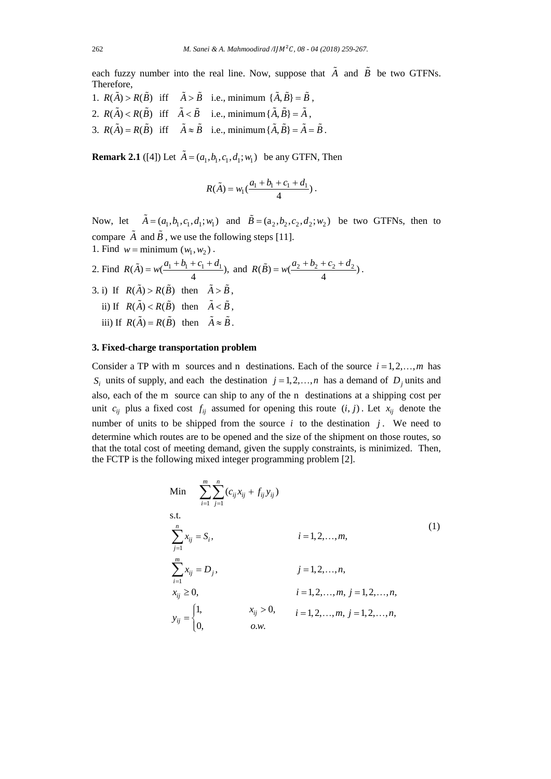each fuzzy number into the real line. Now, suppose that  $\tilde{A}$  and  $\tilde{B}$  be two GTFNs. Therefore,

1.  $R(\tilde{A}) > R(\tilde{B})$  iff  $\tilde{A} > \tilde{B}$  i.e., minimum  $\{\tilde{A}, \tilde{B}\} = \tilde{B}$ , 2.  $R(\tilde{A}) < R(\tilde{B})$  iff  $\tilde{A} < \tilde{B}$  i.e., minimum  $\{\tilde{A}, \tilde{B}\} = \tilde{A}$ , 3.  $R(\tilde{A}) = R(\tilde{B})$  iff  $\tilde{A} \approx \tilde{B}$  i.e., minimum  $\{\tilde{A}, \tilde{B}\} = \tilde{A} = \tilde{B}$ .

**Remark 2.1** ([4]) Let  $\tilde{A} = (a_1, b_1, c_1, d_1; w_1)$  be any GTFN, Then

$$
R(\tilde{A}) = w_1(\frac{a_1 + b_1 + c_1 + d_1}{4}).
$$

Now, let  $\tilde{A} = (a_1, b_1, c_1, d_1; w_1)$  and  $\tilde{B} = (a_2, b_2, c_2, d_2; w_2)$  be two GTFNs, then to compare  $\tilde{A}$  and  $\tilde{B}$ , we use the following steps [11]. 1. Find  $w =$  minimum  $(w_1, w_2)$ .

2. Find  $R(\tilde{A}) = w(\frac{a_1 + b_1 + c_1 + d_1}{4})$ , and  $R(\tilde{B}) = w(\frac{a_2 + b_2 + c_2 + d_2}{4})$ . 3. i) If  $R(\tilde{A}) > R(\tilde{B})$  then  $\tilde{A} > \tilde{B}$ , ii) If  $R(\tilde{A}) < R(\tilde{B})$  then  $\tilde{A} < \tilde{B}$ , iii) If  $R(\tilde{A}) = R(\tilde{B})$  then  $\tilde{A} \approx \tilde{B}$ .

### **3. Fixed-charge transportation problem**

Consider a TP with m sources and n destinations. Each of the source  $i = 1, 2, ..., m$  has  $S_i$  units of supply, and each the destination  $j = 1, 2, ..., n$  has a demand of  $D_j$  units and also, each of the m source can ship to any of the n destinations at a shipping cost per unit  $c_{ij}$  plus a fixed cost  $f_{ij}$  assumed for opening this route  $(i, j)$ . Let  $x_{ij}$  denote the number of units to be shipped from the source  $i$  to the destination  $j$ . We need to determine which routes are to be opened and the size of the shipment on those routes, so that the total cost of meeting demand, given the supply constraints, is minimized. Then, the FCTP is the following mixed integer programming problem [2].

Min 
$$
\sum_{i=1}^{m} \sum_{j=1}^{n} (c_{ij}x_{ij} + f_{ij}y_{ij})
$$
  
s.t.  $i = 1, 2, ..., m,$   

$$
\sum_{j=1}^{m} x_{ij} = S_i,
$$
 $i = 1, 2, ..., m,$   

$$
\sum_{i=1}^{m} x_{ij} = D_j,
$$
 $j = 1, 2, ..., n,$   

$$
x_{ij} \ge 0,
$$
 $i = 1, 2, ..., m, j = 1, 2, ..., n,$   

$$
y_{ij} = \begin{cases} 1, & x_{ij} > 0, & i = 1, 2, ..., m, j = 1, 2, ..., n, \\ 0, & o.w. \end{cases}
$$
(1)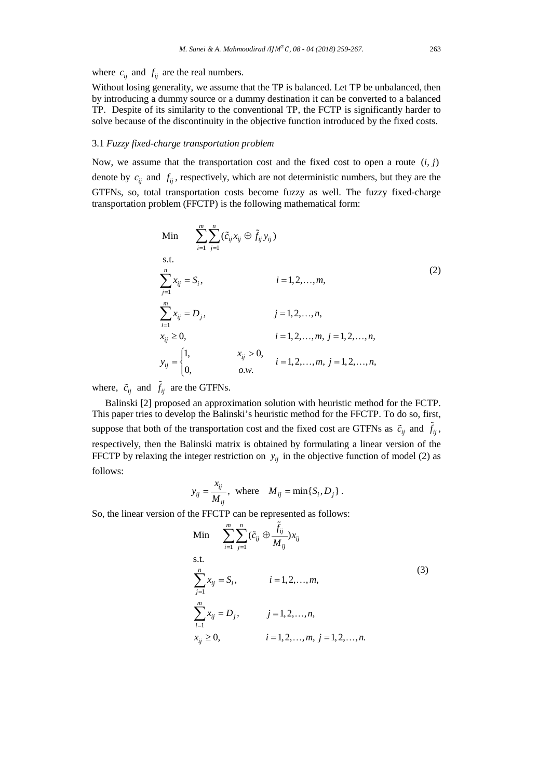where  $c_{ii}$  and  $f_{ii}$  are the real numbers.

Without losing generality, we assume that the TP is balanced. Let TP be unbalanced, then by introducing a dummy source or a dummy destination it can be converted to a balanced TP. Despite of its similarity to the conventional TP, the FCTP is significantly harder to solve because of the discontinuity in the objective function introduced by the fixed costs.

## 3.1 *Fuzzy fixed-charge transportation problem*

Now, we assume that the transportation cost and the fixed cost to open a route  $(i, j)$ denote by  $c_{ij}$  and  $f_{ij}$ , respectively, which are not deterministic numbers, but they are the GTFNs, so, total transportation costs become fuzzy as well. The fuzzy fixed-charge transportation problem (FFCTP) is the following mathematical form:

Min 
$$
\sum_{i=1}^{m} \sum_{j=1}^{n} (\tilde{c}_{ij} x_{ij} \oplus \tilde{f}_{ij} y_{ij})
$$
  
s.t.  

$$
\sum_{j=1}^{n} x_{ij} = S_i,
$$
  
 $i = 1, 2, ..., m,$   

$$
\sum_{i=1}^{m} x_{ij} = D_j,
$$
  
 $j = 1, 2, ..., n,$   
 $x_{ij} \ge 0,$   
 $i = 1, 2, ..., m, j = 1, 2, ..., n,$   
 $y_{ij} = \begin{cases} 1, & x_{ij} > 0, \\ 0, & o.w. \end{cases}$   
 $i = 1, 2, ..., m, j = 1, 2, ..., n,$ 

where,  $\tilde{c}_{ij}$  and  $\tilde{f}_{ij}$  are the GTFNs.

Balinski [2] proposed an approximation solution with heuristic method for the FCTP. This paper tries to develop the Balinski's heuristic method for the FFCTP. To do so, first, suppose that both of the transportation cost and the fixed cost are GTFNs as  $\tilde{c}_{ij}$  and  $\tilde{f}_{ij}$ , respectively, then the Balinski matrix is obtained by formulating a linear version of the FFCTP by relaxing the integer restriction on  $y_{ij}$  in the objective function of model (2) as follows:

$$
y_{ij} = \frac{x_{ij}}{M_{ij}}, \text{ where } M_{ij} = \min\{S_i, D_j\}.
$$

So, the linear version of the FFCTP can be represented as follows:

Min 
$$
\sum_{i=1}^{m} \sum_{j=1}^{n} (\tilde{c}_{ij} \oplus \frac{\tilde{f}_{ij}}{M_{ij}}) x_{ij}
$$
  
s.t. 
$$
\sum_{j=1}^{n} x_{ij} = S_i, \qquad i = 1, 2, ..., m,
$$

$$
\sum_{i=1}^{m} x_{ij} = D_j, \qquad j = 1, 2, ..., n,
$$

$$
x_{ij} \ge 0, \qquad i = 1, 2, ..., m, j = 1, 2, ..., n.
$$
 (3)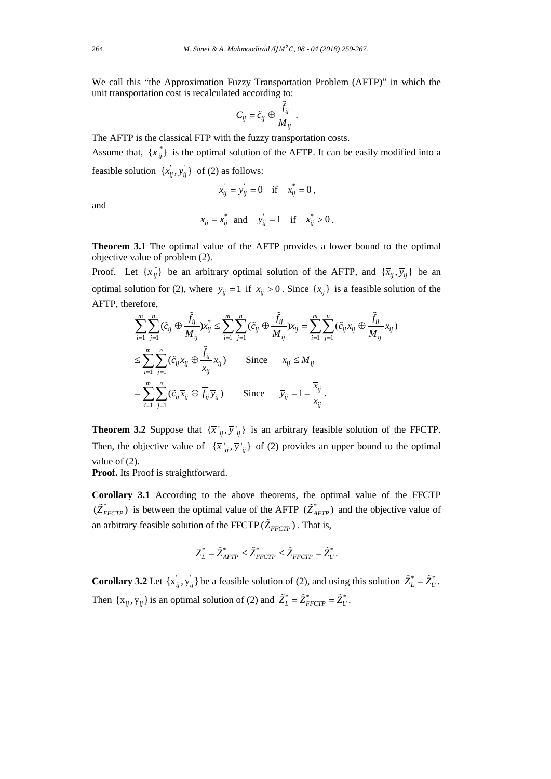We call this "the Approximation Fuzzy Transportation Problem (AFTP)" in which the unit transportation cost is recalculated according to:

$$
C_{ij}=\tilde{c}_{ij}\oplus \frac{\tilde{f}_{ij}}{M_{ij}}.
$$

The AFTP is the classical FTP with the fuzzy transportation costs.

Assume that,  $\{x_{ij}^*\}$  is the optimal solution of the AFTP. It can be easily modified into a feasible solution  $\{x_{ij}, y_{ij}\}\$  of (2) as follows:

$$
x_{ij} = y_{ij} = 0
$$
 if  $x_{ij}^* = 0$ ,

and

$$
x_{ij} = x_{ij}^* \quad \text{and} \quad y_{ij} = 1 \quad \text{if} \quad x_{ij}^* > 0 \,.
$$

**Theorem 3.1** The optimal value of the AFTP provides a lower bound to the optimal objective value of problem (2).

Proof. Let  $\{x_{ij}^*\}$  be an arbitrary optimal solution of the AFTP, and  $\{\overline{x}_{ij}, \overline{y}_{ij}\}$  be an optimal solution for (2), where  $\overline{y}_{ij} = 1$  if  $\overline{x}_{ij} > 0$ . Since  $\{\overline{x}_{ij}\}\$ is a feasible solution of the AFTP, therefore,

$$
\sum_{i=1}^{m} \sum_{j=1}^{n} (\tilde{c}_{ij} \oplus \frac{\tilde{f}_{ij}}{M_{ij}}) x_{ij}^{*} \le \sum_{i=1}^{m} \sum_{j=1}^{n} (\tilde{c}_{ij} \oplus \frac{\tilde{f}_{ij}}{M_{ij}}) \overline{x}_{ij} = \sum_{i=1}^{m} \sum_{j=1}^{n} (\tilde{c}_{ij} \overline{x}_{ij} \oplus \frac{\tilde{f}_{ij}}{M_{ij}} \overline{x}_{ij})
$$
  

$$
\le \sum_{i=1}^{m} \sum_{j=1}^{n} (\tilde{c}_{ij} \overline{x}_{ij} \oplus \frac{\tilde{f}_{ij}}{\overline{x}_{ij}} \overline{x}_{ij}) \qquad \text{Since} \qquad \overline{x}_{ij} \le M_{ij}
$$
  

$$
= \sum_{i=1}^{m} \sum_{j=1}^{n} (\tilde{c}_{ij} \overline{x}_{ij} \oplus \overline{f}_{ij} \overline{y}_{ij}) \qquad \text{Since} \qquad \overline{y}_{ij} = 1 = \frac{\overline{x}_{ij}}{\overline{x}_{ij}}.
$$

**Theorem 3.2** Suppose that  ${\{\overline{x'}_{ii}, \overline{y'}_{ii}\}}$  is an arbitrary feasible solution of the FFCTP. Then, the objective value of  ${\overline{x'}_{ii}, \overline{y'}_{ii}}$  of (2) provides an upper bound to the optimal value of (2).

**Proof.** Its Proof is straightforward.

**Corollary 3.1** According to the above theorems, the optimal value of the FFCTP  $(\tilde{Z}_{FFCTP}^*)$  is between the optimal value of the AFTP  $(\tilde{Z}_{AFTP}^*)$  and the objective value of an arbitrary feasible solution of the FFCTP  $(\tilde{Z}_{FFCTP})$  . That is,

$$
Z_L^* = \tilde{Z}_{AFTP}^* \leq \tilde{Z}_{FFCTP}^* \leq \tilde{Z}_{FFCTP} = \tilde{Z}_U^*.
$$

**Corollary 3.2** Let  $\{x_{ij}, y_{ij}\}$  be a feasible solution of (2), and using this solution  $\tilde{Z}_L^* = \tilde{Z}_U^*$ . Then  $\{x_{ij}, y_{ij}\}$  is an optimal solution of (2) and  $\tilde{Z}_L^* = \tilde{Z}_{FFCTP}^* = \tilde{Z}_U^*$ .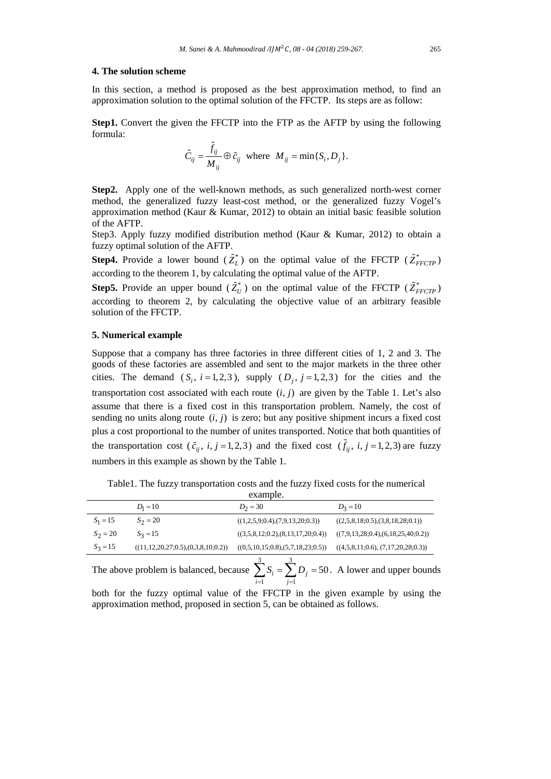# **4. The solution scheme**

In this section, a method is proposed as the best approximation method, to find an approximation solution to the optimal solution of the FFCTP. Its steps are as follow:

**Step1.** Convert the given the FFCTP into the FTP as the AFTP by using the following formula:

$$
\tilde{C}_{ij} = \frac{\tilde{f}_{ij}}{M_{ij}} \oplus \tilde{c}_{ij} \text{ where } M_{ij} = \min\{S_i, D_j\}.
$$

**Step2.** Apply one of the well-known methods, as such generalized north-west corner method, the generalized fuzzy least-cost method, or the generalized fuzzy Vogel's approximation method (Kaur & Kumar, 2012) to obtain an initial basic feasible solution of the AFTP.

Step3. Apply fuzzy modified distribution method (Kaur & Kumar, 2012) to obtain a fuzzy optimal solution of the AFTP.

**Step4.** Provide a lower bound  $(\tilde{Z}_L^*)$  on the optimal value of the FFCTP  $(\tilde{Z}_{FFCTP}^*)$ according to the theorem 1, by calculating the optimal value of the AFTP.

**Step5.** Provide an upper bound  $(\tilde{Z}_U^*)$  on the optimal value of the FFCTP  $(\tilde{Z}_{FFCTP}^*)$ according to theorem 2, by calculating the objective value of an arbitrary feasible solution of the FFCTP.

## **5. Numerical example**

Suppose that a company has three factories in three different cities of 1, 2 and 3. The goods of these factories are assembled and sent to the major markets in the three other cities. The demand  $(S_i, i=1,2,3)$ , supply  $(D_i, j=1,2,3)$  for the cities and the transportation cost associated with each route  $(i, j)$  are given by the Table 1. Let's also assume that there is a fixed cost in this transportation problem. Namely, the cost of sending no units along route  $(i, j)$  is zero; but any positive shipment incurs a fixed cost plus a cost proportional to the number of unites transported. Notice that both quantities of the transportation cost  $(\tilde{c}_{ii}, i, j = 1,2,3)$  and the fixed cost  $(\tilde{f}_{ii}, i, j = 1,2,3)$  are fuzzy numbers in this example as shown by the Table 1.

|            | $D_1 = 10$                                    | $D_2 = 30$                        | $D_2 = 10$                         |
|------------|-----------------------------------------------|-----------------------------------|------------------------------------|
| $S_1 = 15$ | $S_2 = 20$                                    | ((1,2,5,9;0.4),(7,9,13,20;0.3))   | ((2,5,8,18,0.5),(3,8,18,28,0.1))   |
| $S_2 = 20$ | $S_3 = 15$                                    | ((3,5,8,12;0.2),(8,13,17,20;0.4)) | ((7,9,13,28,0.4),(6,18,25,40,0.2)) |
| $S_3 = 15$ | $((11, 12, 20, 27, 0.5), (0, 3, 8, 10, 0.2))$ | ((0,5,10,15;0.8),(5,7,18,23;0.5)) | ((4,5,8,11;0.6), (7,17,20,28;0.3)) |
|            |                                               |                                   |                                    |

Table1. The fuzzy transportation costs and the fuzzy fixed costs for the numerical example.

The above problem is balanced, because 3 3 1 *j=1*  $b_i = \sum D_j = 50$ *i j*  $S_i = \sum D$  $\sum_{i=1}^{n} S_i = \sum_{j=1}^{n} D_j = 50$ . A lower and upper bounds

both for the fuzzy optimal value of the FFCTP in the given example by using the approximation method, proposed in section 5, can be obtained as follows.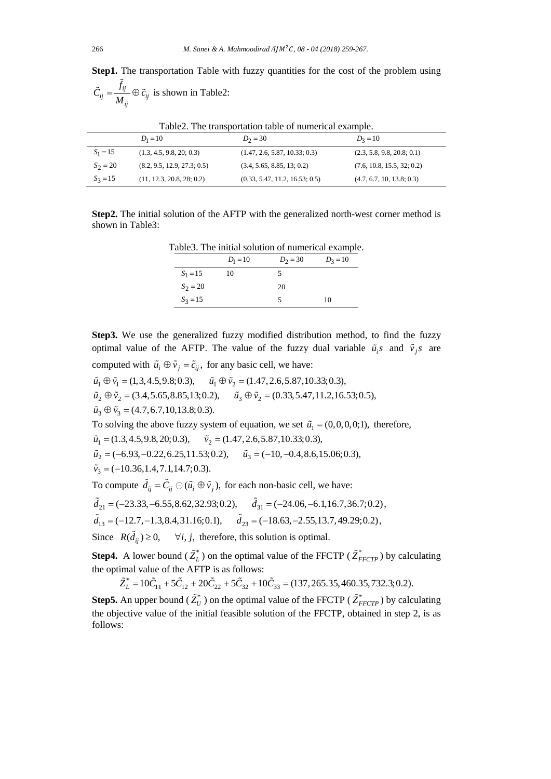Step1. The transportation Table with fuzzy quantities for the cost of the problem using *ij*  $\ddot{y}$  –  $\frac{1}{\sqrt{1}}$   $\cup$   $\dot{c}_{ij}$ *ij*  $\tilde{C}_{ii} = \frac{f_{ij}}{f} \oplus \tilde{c}$ *M*  $\tilde{C}_{ii} = \frac{\tilde{f}_{ij}}{I} \oplus \tilde{c}_{ii}$  is shown in Table2:

|            | $D_1 = 10$                  | $D_2 = 30$                     | $D_3 = 10$                 |
|------------|-----------------------------|--------------------------------|----------------------------|
| $S_1 = 15$ | (1.3, 4.5, 9.8, 20, 0.3)    | (1.47, 2.6, 5.87, 10.33; 0.3)  | (2.3, 5.8, 9.8, 20.8, 0.1) |
| $S_2 = 20$ | (8.2, 9.5, 12.9, 27.3; 0.5) | (3.4, 5.65, 8.85, 13; 0.2)     | (7.6, 10.8, 15.5, 32; 0.2) |
| $S_3 = 15$ | (11, 12.3, 20.8, 28, 0.2)   | (0.33, 5.47, 11.2, 16.53; 0.5) | (4.7, 6.7, 10, 13.8, 0.3)  |

Table2. The transportation table of numerical example.

**Step2.** The initial solution of the AFTP with the generalized north-west corner method is shown in Table3:

Table3. The initial solution of numerical example.

|            | $D_1 = 10$ | $D_2 = 30$ | $D_3 = 10$ |
|------------|------------|------------|------------|
| $S_1 = 15$ | 10         |            |            |
| $S_2 = 20$ |            | 20         |            |
| $S_3 = 15$ |            |            | 10         |

**Step3.** We use the generalized fuzzy modified distribution method, to find the fuzzy optimal value of the AFTP. The value of the fuzzy dual variable  $\tilde{u}_i$  and  $\tilde{v}_i$  are computed with  $\tilde{u}_i \oplus \tilde{v}_j = \tilde{c}_{ij}$ , for any basic cell, we have:

 $\tilde{u}_1 \oplus \tilde{v}_1 = (1,3,4.5,9.8;0.3), \quad \tilde{u}_1 \oplus \tilde{v}_2 = (1.47,2.6,5.87,10.33;0.3),$  $\tilde{u}_2 \oplus \tilde{v}_2 = (3.4, 5.65, 8.85, 13; 0.2), \quad \tilde{u}_3 \oplus \tilde{v}_2 = (0.33, 5.47, 11.2, 16.53; 0.5),$  $\tilde{u}_3 \oplus \tilde{v}_3 = (4.7, 6.7, 10, 13.8; 0.3).$ To solving the above fuzzy system of equation, we set  $\tilde{u}_1 = (0,0,0,0;1)$ , therefore,

 $\tilde{u}_1 = (1.3, 4.5, 9.8, 20; 0.3),$   $\tilde{v}_2 = (1.47, 2.6, 5.87, 10.33; 0.3),$ 

 $\tilde{u}_2 = (-6.93, -0.22, 6.25, 11.53; 0.2), \quad \tilde{u}_3 = (-10, -0.4, 8.6, 15.06; 0.3),$ 

 $\tilde{v}_3 = (-10.36, 1.4, 7.1, 14.7; 0.3).$ 

To compute  $\tilde{d}_{ij} = \tilde{C}_{ij} \oplus (\tilde{u}_i \oplus \tilde{v}_j)$ , for each non-basic cell, we have:

$$
\tilde{d}_{21} = (-23.33, -6.55, 8.62, 32.93; 0.2), \quad \tilde{d}_{31} = (-24.06, -6.1, 16.7, 36.7; 0.2),
$$

 $\tilde{d}_{13} = (-12.7, -1.3, 8.4, 31.16; 0.1), \quad \tilde{d}_{23} = (-18.63, -2.55, 13.7, 49.29; 0.2),$ 

Since  $R(\tilde{d}_{ij}) \ge 0$ ,  $\forall i, j$ , therefore, this solution is optimal.

**Step4.** A lower bound  $(\tilde{Z}_L^*)$  on the optimal value of the FFCTP  $(\tilde{Z}_{FFCTP}^*)$  by calculating the optimal value of the AFTP is as follows:

$$
\tilde{Z}_L^* = 10\tilde{C}_{11} + 5\tilde{C}_{12} + 20\tilde{C}_{22} + 5\tilde{C}_{32} + 10\tilde{C}_{33} = (137, 265.35, 460.35, 732.3; 0.2).
$$

**Step5.** An upper bound ( $\tilde{Z}_U^*$ ) on the optimal value of the FFCTP ( $\tilde{Z}_{FFCTP}^*$ ) by calculating the objective value of the initial feasible solution of the FFCTP, obtained in step 2, is as follows: